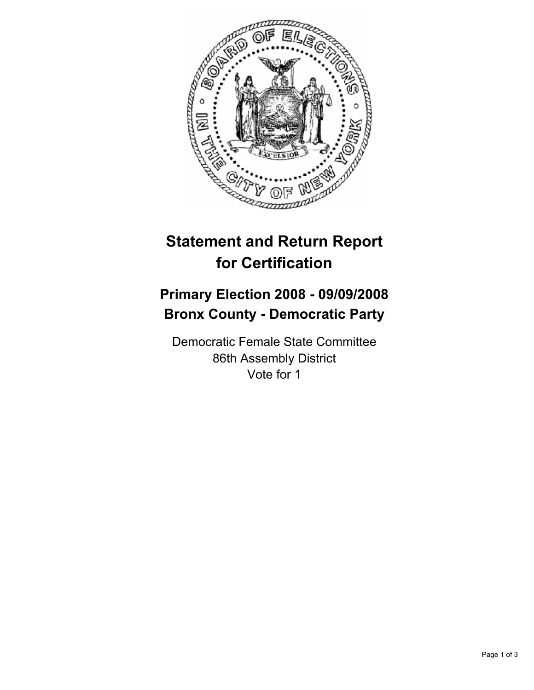

# **Statement and Return Report for Certification**

## **Primary Election 2008 - 09/09/2008 Bronx County - Democratic Party**

Democratic Female State Committee 86th Assembly District Vote for 1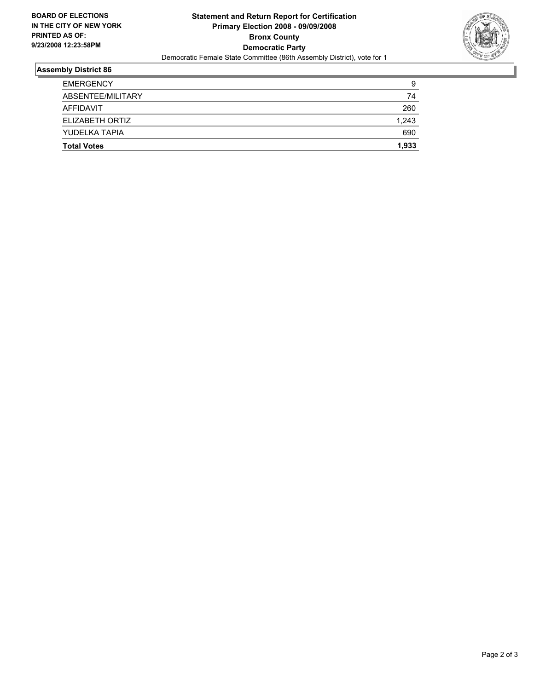

### **Assembly District 86**

| <b>EMERGENCY</b>   | 9     |
|--------------------|-------|
| ABSENTEE/MILITARY  | 74    |
| AFFIDAVIT          | 260   |
| ELIZABETH ORTIZ    | 1,243 |
| YUDELKA TAPIA      | 690   |
| <b>Total Votes</b> | 1,933 |